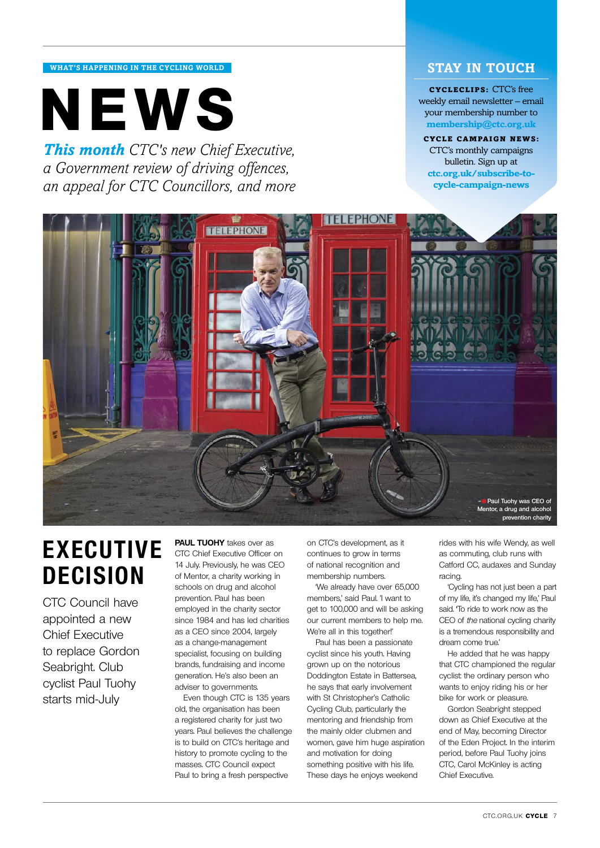#### **what's happening in the cycling world**

# **cycleclips:** CTC's free<br>weekly email newsletter – em<br>your membership number to<br>membership@ctc.org.uk

*This month CTC's new Chief Executive, a Government review of driving offences, an appeal for CTC Councillors, and more*

### **stay in touch**

weekly email newsletter – email your membership number to **membership@ctc.org.uk**

CYCLE campaign news: CTC's monthly campaigns bulletin. Sign up at **ctc.org.uk/subscribe-tocycle-campaign-news**



# **Executive decision**

CTC Council have appointed a new Chief Executive to replace Gordon Seabright. Club cyclist Paul Tuohy starts mid-July

**PAUL TUOHY** takes over as CTC Chief Executive Officer on 14 July. Previously, he was CEO of Mentor, a charity working in schools on drug and alcohol prevention. Paul has been employed in the charity sector since 1984 and has led charities as a CEO since 2004, largely as a change-management specialist, focusing on building brands, fundraising and income generation. He's also been an adviser to governments.

Even though CTC is 135 years old, the organisation has been a registered charity for just two years. Paul believes the challenge is to build on CTC's heritage and history to promote cycling to the masses. CTC Council expect Paul to bring a fresh perspective

on CTC's development, as it continues to grow in terms of national recognition and membership numbers.

'We already have over 65,000 members,' said Paul. 'I want to get to 100,000 and will be asking our current members to help me. We're all in this together!'

Paul has been a passionate cyclist since his youth. Having grown up on the notorious Doddington Estate in Battersea, he says that early involvement with St Christopher's Catholic Cycling Club, particularly the mentoring and friendship from the mainly older clubmen and women, gave him huge aspiration and motivation for doing something positive with his life. These days he enjoys weekend

rides with his wife Wendy, as well as commuting, club runs with Catford CC, audaxes and Sunday racing.

'Cycling has not just been a part of my life, it's changed my life,' Paul said. To ride to work now as the CEO of the national cycling charity is a tremendous responsibility and dream come true.'

He added that he was happy that CTC championed the regular cyclist: the ordinary person who wants to enjoy riding his or her bike for work or pleasure.

Gordon Seabright stepped down as Chief Executive at the end of May, becoming Director of the Eden Project. In the interim period, before Paul Tuohy joins CTC, Carol McKinley is acting Chief Executive.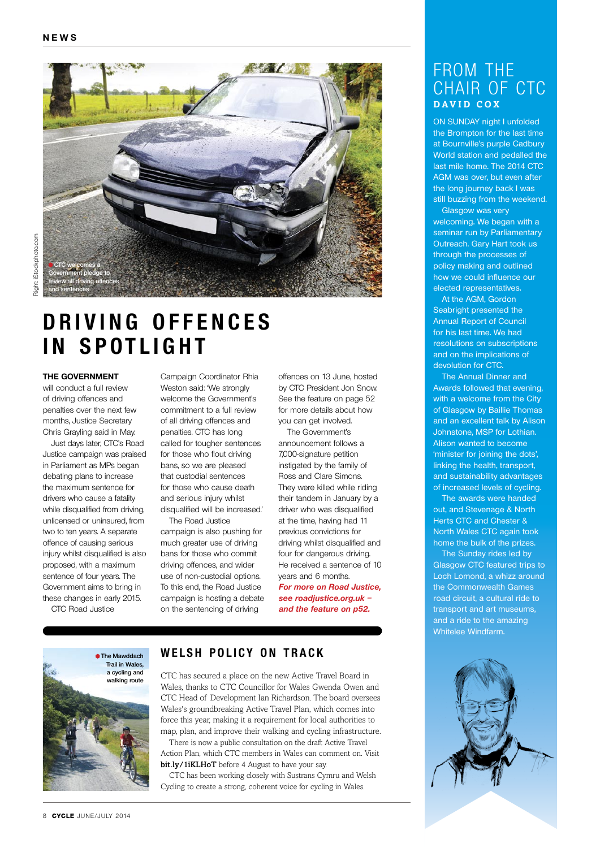

### **D riving off e n c e s in spotlight**

#### **The Government**

will conduct a full review of driving offences and penalties over the next few months, Justice Secretary Chris Grayling said in May.

Just days later, CTC's Road Justice campaign was praised in Parliament as MPs began debating plans to increase the maximum sentence for drivers who cause a fatality while disqualified from driving. unlicensed or uninsured, from two to ten years. A separate offence of causing serious injury whilst disqualified is also proposed, with a maximum sentence of four years. The Government aims to bring in these changes in early 2015.

CTC Road Justice

Campaign Coordinator Rhia Weston said: 'We strongly welcome the Government's commitment to a full review of all driving offences and penalties. CTC has long called for tougher sentences for those who flout driving bans, so we are pleased that custodial sentences for those who cause death and serious injury whilst disqualified will be increased.'

The Road Justice campaign is also pushing for much greater use of driving bans for those who commit driving offences, and wider use of non-custodial options. To this end, the Road Justice campaign is hosting a debate on the sentencing of driving

offences on 13 June, hosted by CTC President Jon Snow. See the feature on page 52 for more details about how you can get involved.

The Government's announcement follows a 7,000-signature petition instigated by the family of Ross and Clare Simons. They were killed while riding their tandem in January by a driver who was disqualified at the time, having had 11 previous convictions for driving whilst disqualified and four for dangerous driving. He received a sentence of 10 years and 6 months. **For more on Road Justice, see roadjustice.org.uk –** 

**and the feature on p52.**



### **W e lsh policy on track**

CTC has secured a place on the new Active Travel Board in Wales, thanks to CTC Councillor for Wales Gwenda Owen and CTC Head of Development Ian Richardson. The board oversees Wales's groundbreaking Active Travel Plan, which comes into force this year, making it a requirement for local authorities to map, plan, and improve their walking and cycling infrastructure.

There is now a public consultation on the draft Active Travel Action Plan, which CTC members in Wales can comment on. Visit bit.ly/1iKLHoT before 4 August to have your say.

CTC has been working closely with Sustrans Cymru and Welsh Cycling to create a strong, coherent voice for cycling in Wales.

### From the CHAIR OF CTC **D avid C o x**

on sunday night I unfolded the Brompton for the last time at Bournville's purple Cadbury World station and pedalled the last mile home. The 2014 CTC AGM was over, but even after the long journey back I was still buzzing from the weekend.

Glasgow was very welcoming. We began with a seminar run by Parliamentary Outreach. Gary Hart took us through the processes of policy making and outlined how we could influence our elected representatives.

At the AGM, Gordon Seabright presented the Annual Report of Council for his last time. We had resolutions on subscriptions and on the implications of devolution for CTC.

The Annual Dinner and Awards followed that evening, with a welcome from the City of Glasgow by Baillie Thomas and an excellent talk by Alison Johnstone, MSP for Lothian. Alison wanted to become 'minister for joining the dots', linking the health, transport, and sustainability advantages of increased levels of cycling.

The awards were handed out, and Stevenage & North Herts CTC and Chester & North Wales CTC again took home the bulk of the prizes.

The Sunday rides led by Glasgow CTC featured trips to Loch Lomond, a whizz around the Commonwealth Games road circuit, a cultural ride to transport and art museums, and a ride to the amazing Whitelee Windfarm.